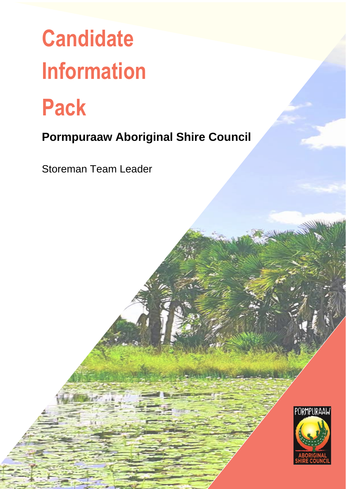# **Candidate Information**

**Pack**

# **Pormpuraaw Aboriginal Shire Council**

Storeman Team Leader

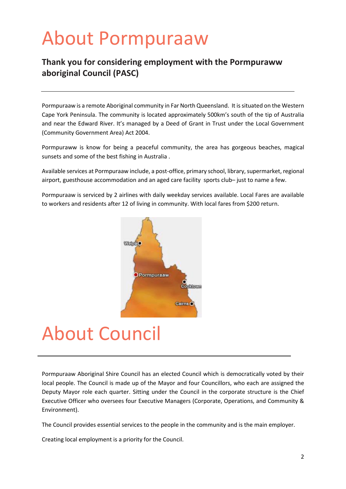# About Pormpuraaw

# **Thank you for considering employment with the Pormpuraww aboriginal Council (PASC)**

Pormpuraaw is a remote Aboriginal community in Far North Queensland. It is situated on the Western Cape York Peninsula. The community is located approximately 500km's south of the tip of Australia and near the Edward River. It's managed by a Deed of Grant in Trust under the Local Government (Community Government Area) Act 2004.

Pormpuraww is know for being a peaceful community, the area has gorgeous beaches, magical sunsets and some of the best fishing in Australia .

Available services at Pormpuraaw include, a post-office, primary school, library, supermarket, regional airport, guesthouse accommodation and an aged care facility sports club– just to name a few.

Pormpuraaw is serviced by 2 airlines with daily weekday services available. Local Fares are available to workers and residents after 12 of living in community. With local fares from \$200 return.



# About Council

Pormpuraaw Aboriginal Shire Council has an elected Council which is democratically voted by their local people. The Council is made up of the Mayor and four Councillors, who each are assigned the Deputy Mayor role each quarter. Sitting under the Council in the corporate structure is the Chief Executive Officer who oversees four Executive Managers (Corporate, Operations, and Community & Environment).

The Council provides essential services to the people in the community and is the main employer.

Creating local employment is a priority for the Council.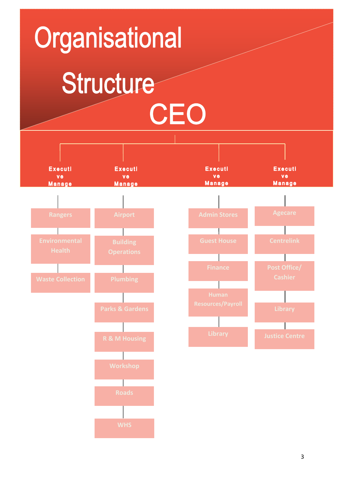# Organisational Structure CEO

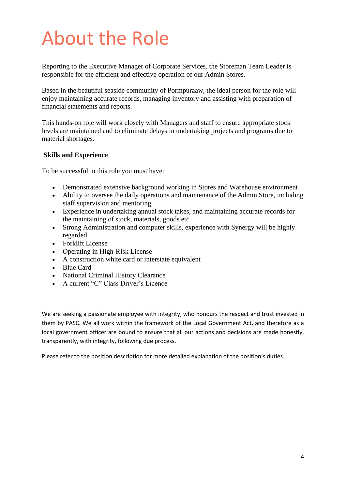# About the Role

Reporting to the Executive Manager of Corporate Services, the Storeman Team Leader is responsible for the efficient and effective operation of our Admin Stores.

Based in the beautiful seaside community of Pormpuraaw, the ideal person for the role will enjoy maintaining accurate records, managing inventory and assisting with preparation of financial statements and reports.

This hands-on role will work closely with Managers and staff to ensure appropriate stock levels are maintained and to eliminate delays in undertaking projects and programs due to material shortages.

#### **Skills and Experience**

To be successful in this role you must have:

- Demonstrated extensive background working in Stores and Warehouse environment
- Ability to oversee the daily operations and maintenance of the Admin Store, including staff supervision and mentoring.
- Experience in undertaking annual stock takes, and maintaining accurate records for the maintaining of stock, materials, goods etc.
- Strong Administration and computer skills, experience with Synergy will be highly regarded
- Forklift License
- Operating in High-Risk License
- A construction white card or interstate equivalent
- Blue Card
- National Criminal History Clearance
- A current "C" Class Driver's Licence

We are seeking a passionate employee with integrity, who honours the respect and trust invested in them by PASC. We all work within the framework of the Local Government Act, and therefore as a local government officer are bound to ensure that all our actions and decisions are made honestly, transparently, with integrity, following due process.

Please refer to the position description for more detailed explanation of the position's duties.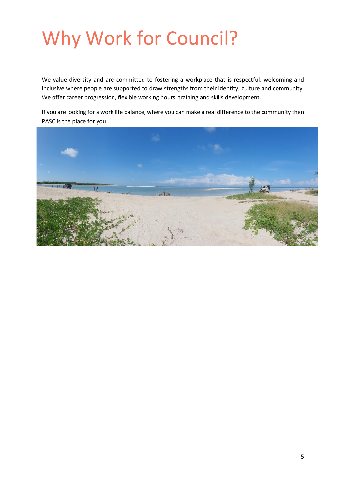# Why Work for Council?

We value diversity and are committed to fostering a workplace that is respectful, welcoming and inclusive where people are supported to draw strengths from their identity, culture and community. We offer career progression, flexible working hours, training and skills development.

If you are looking for a work life balance, where you can make a real difference to the community then PASC is the place for you.

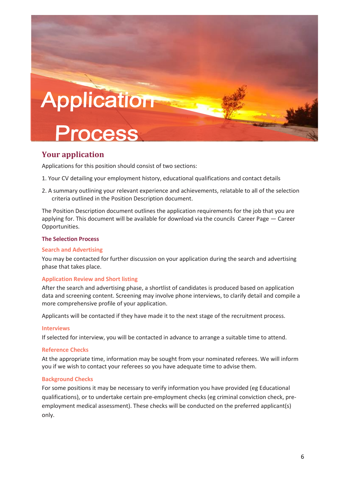

## **Your application**

Applications for this position should consist of two sections:

- 1. Your CV detailing your employment history, educational qualifications and contact details
- 2. A summary outlining your relevant experience and achievements, relatable to all of the selection criteria outlined in the Position Description document.

The Position Description document outlines the application requirements for the job that you are applying for. This document will be available for download via the councils Career Page — Career Opportunities.

#### **The Selection Process**

#### **Search and Advertising**

You may be contacted for further discussion on your application during the search and advertising phase that takes place.

#### **Application Review and Short listing**

After the search and advertising phase, a shortlist of candidates is produced based on application data and screening content. Screening may involve phone interviews, to clarify detail and compile a more comprehensive profile of your application.

Applicants will be contacted if they have made it to the next stage of the recruitment process.

#### **Interviews**

If selected for interview, you will be contacted in advance to arrange a suitable time to attend.

#### **Reference Checks**

At the appropriate time, information may be sought from your nominated referees. We will inform you if we wish to contact your referees so you have adequate time to advise them.

#### **Background Checks**

For some positions it may be necessary to verify information you have provided (eg Educational qualifications), or to undertake certain pre-employment checks (eg criminal conviction check, preemployment medical assessment). These checks will be conducted on the preferred applicant(s) only.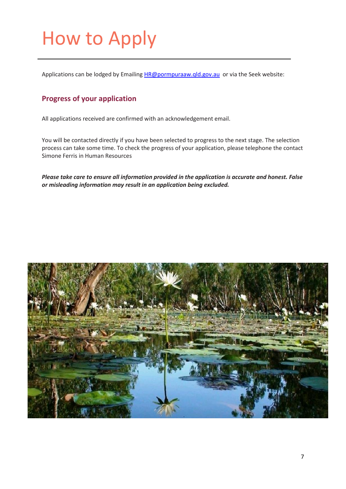# How to Apply

Applications can be lodged by Emailing [HR@pormpuraaw.qld.gov.au](mailto:HR@pormpuraaw.qld.gov.au) or via the Seek website:

# **Progress of your application**

All applications received are confirmed with an acknowledgement email.

You will be contacted directly if you have been selected to progress to the next stage. The selection process can take some time. To check the progress of your application, please telephone the contact Simone Ferris in Human Resources

*Please take care to ensure all information provided in the application is accurate and honest. False or misleading information may result in an application being excluded.*

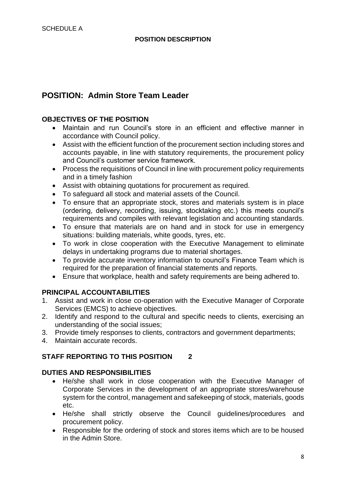# **POSITION: Admin Store Team Leader**

## **OBJECTIVES OF THE POSITION**

- Maintain and run Council's store in an efficient and effective manner in accordance with Council policy.
- Assist with the efficient function of the procurement section including stores and accounts payable, in line with statutory requirements, the procurement policy and Council's customer service framework.
- Process the requisitions of Council in line with procurement policy requirements and in a timely fashion
- Assist with obtaining quotations for procurement as required.
- To safeguard all stock and material assets of the Council.
- To ensure that an appropriate stock, stores and materials system is in place (ordering, delivery, recording, issuing, stocktaking etc.) this meets council's requirements and compiles with relevant legislation and accounting standards.
- To ensure that materials are on hand and in stock for use in emergency situations: building materials, white goods, tyres, etc.
- To work in close cooperation with the Executive Management to eliminate delays in undertaking programs due to material shortages.
- To provide accurate inventory information to council's Finance Team which is required for the preparation of financial statements and reports.
- Ensure that workplace, health and safety requirements are being adhered to.

## **PRINCIPAL ACCOUNTABILITIES**

- 1. Assist and work in close co-operation with the Executive Manager of Corporate Services (EMCS) to achieve objectives.
- 2. Identify and respond to the cultural and specific needs to clients, exercising an understanding of the social issues;
- 3. Provide timely responses to clients, contractors and government departments;
- 4. Maintain accurate records.

## **STAFF REPORTING TO THIS POSITION 2**

## **DUTIES AND RESPONSIBILITIES**

- He/she shall work in close cooperation with the Executive Manager of Corporate Services in the development of an appropriate stores/warehouse system for the control, management and safekeeping of stock, materials, goods etc.
- He/she shall strictly observe the Council guidelines/procedures and procurement policy.
- Responsible for the ordering of stock and stores items which are to be housed in the Admin Store.